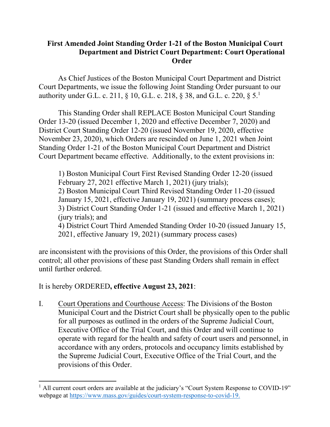## **First Amended Joint Standing Order 1-21 of the Boston Municipal Court Department and District Court Department: Court Operational Order**

As Chief Justices of the Boston Municipal Court Department and District Court Departments, we issue the following Joint Standing Order pursuant to our authority under G.L. c. 211, § 10, G.L. c. 218, § 38, and G.L. c. 220, § 5.1

This Standing Order shall REPLACE Boston Municipal Court Standing Order 13-20 (issued December 1, 2020 and effective December 7, 2020) and District Court Standing Order 12-20 (issued November 19, 2020, effective November 23, 2020), which Orders are rescinded on June 1, 2021 when Joint Standing Order 1-21 of the Boston Municipal Court Department and District Court Department became effective. Additionally, to the extent provisions in:

1) Boston Municipal Court First Revised Standing Order 12-20 (issued February 27, 2021 effective March 1, 2021) (jury trials); 2) Boston Municipal Court Third Revised Standing Order 11-20 (issued January 15, 2021, effective January 19, 2021) (summary process cases); 3) District Court Standing Order 1-21 (issued and effective March 1, 2021) (jury trials); and 4) District Court Third Amended Standing Order 10-20 (issued January 15, 2021, effective January 19, 2021) (summary process cases)

are inconsistent with the provisions of this Order, the provisions of this Order shall control; all other provisions of these past Standing Orders shall remain in effect until further ordered.

It is hereby ORDERED**, effective August 23, 2021**:

I. Court Operations and Courthouse Access: The Divisions of the Boston Municipal Court and the District Court shall be physically open to the public for all purposes as outlined in the orders of the Supreme Judicial Court, Executive Office of the Trial Court, and this Order and will continue to operate with regard for the health and safety of court users and personnel, in accordance with any orders, protocols and occupancy limits established by the Supreme Judicial Court, Executive Office of the Trial Court, and the provisions of this Order.

 $<sup>1</sup>$  All current court orders are available at the judiciary's "Court System Response to COVID-19"</sup> webpage at [https://www.mass.gov/guides/court-system-response-to-covid-19.](https://www.mass.gov/guides/court-system-response-to-covid-19)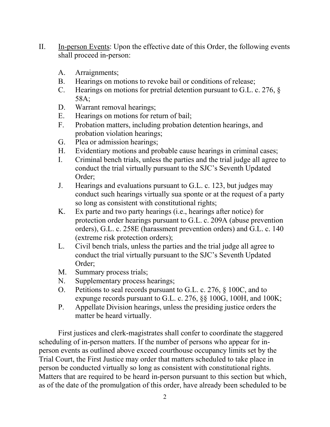- II. In-person Events: Upon the effective date of this Order, the following events shall proceed in-person:
	- A. Arraignments;
	- B. Hearings on motions to revoke bail or conditions of release;
	- C. Hearings on motions for pretrial detention pursuant to G.L. c. 276, § 58A;
	- D. Warrant removal hearings;
	- E. Hearings on motions for return of bail;
	- F. Probation matters, including probation detention hearings, and probation violation hearings;
	- G. Plea or admission hearings;
	- H. Evidentiary motions and probable cause hearings in criminal cases;
	- I. Criminal bench trials, unless the parties and the trial judge all agree to conduct the trial virtually pursuant to the SJC's Seventh Updated Order;
	- J. Hearings and evaluations pursuant to G.L. c. 123, but judges may conduct such hearings virtually sua sponte or at the request of a party so long as consistent with constitutional rights;
	- K. Ex parte and two party hearings (i.e., hearings after notice) for protection order hearings pursuant to G.L. c. 209A (abuse prevention orders), G.L. c. 258E (harassment prevention orders) and G.L. c. 140 (extreme risk protection orders);
	- L. Civil bench trials, unless the parties and the trial judge all agree to conduct the trial virtually pursuant to the SJC's Seventh Updated Order;
	- M. Summary process trials;
	- N. Supplementary process hearings;
	- O. Petitions to seal records pursuant to G.L. c. 276, § 100C, and to expunge records pursuant to G.L. c. 276, §§ 100G, 100H, and 100K;
	- P. Appellate Division hearings, unless the presiding justice orders the matter be heard virtually.

First justices and clerk-magistrates shall confer to coordinate the staggered scheduling of in-person matters. If the number of persons who appear for inperson events as outlined above exceed courthouse occupancy limits set by the Trial Court, the First Justice may order that matters scheduled to take place in person be conducted virtually so long as consistent with constitutional rights. Matters that are required to be heard in-person pursuant to this section but which, as of the date of the promulgation of this order, have already been scheduled to be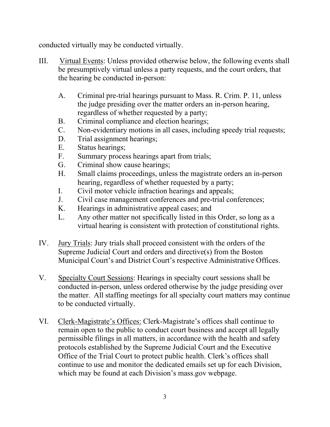conducted virtually may be conducted virtually.

- III. Virtual Events: Unless provided otherwise below, the following events shall be presumptively virtual unless a party requests, and the court orders, that the hearing be conducted in-person:
	- A. Criminal pre-trial hearings pursuant to Mass. R. Crim. P. 11, unless the judge presiding over the matter orders an in-person hearing, regardless of whether requested by a party;
	- B. Criminal compliance and election hearings;
	- C. Non-evidentiary motions in all cases, including speedy trial requests;
	- D. Trial assignment hearings;
	- E. Status hearings;
	- F. Summary process hearings apart from trials;
	- G. Criminal show cause hearings;
	- H. Small claims proceedings, unless the magistrate orders an in-person hearing, regardless of whether requested by a party;
	- I. Civil motor vehicle infraction hearings and appeals;
	- J. Civil case management conferences and pre-trial conferences;
	- K. Hearings in administrative appeal cases; and
	- L. Any other matter not specifically listed in this Order, so long as a virtual hearing is consistent with protection of constitutional rights.
- IV. Jury Trials: Jury trials shall proceed consistent with the orders of the Supreme Judicial Court and orders and directive(s) from the Boston Municipal Court's and District Court's respective Administrative Offices.
- V. Specialty Court Sessions: Hearings in specialty court sessions shall be conducted in-person, unless ordered otherwise by the judge presiding over the matter. All staffing meetings for all specialty court matters may continue to be conducted virtually.
- VI. Clerk-Magistrate's Offices: Clerk-Magistrate's offices shall continue to remain open to the public to conduct court business and accept all legally permissible filings in all matters, in accordance with the health and safety protocols established by the Supreme Judicial Court and the Executive Office of the Trial Court to protect public health. Clerk's offices shall continue to use and monitor the dedicated emails set up for each Division, which may be found at each Division's mass.gov webpage.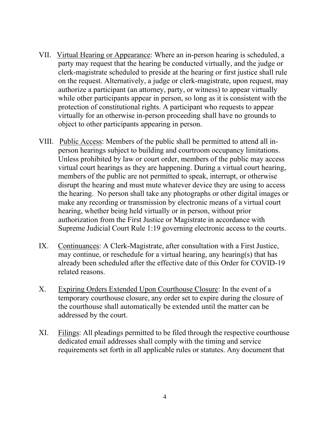- VII. Virtual Hearing or Appearance: Where an in-person hearing is scheduled, a party may request that the hearing be conducted virtually, and the judge or clerk-magistrate scheduled to preside at the hearing or first justice shall rule on the request. Alternatively, a judge or clerk-magistrate, upon request, may authorize a participant (an attorney, party, or witness) to appear virtually while other participants appear in person, so long as it is consistent with the protection of constitutional rights. A participant who requests to appear virtually for an otherwise in-person proceeding shall have no grounds to object to other participants appearing in person.
- VIII. Public Access: Members of the public shall be permitted to attend all inperson hearings subject to building and courtroom occupancy limitations. Unless prohibited by law or court order, members of the public may access virtual court hearings as they are happening. During a virtual court hearing, members of the public are not permitted to speak, interrupt, or otherwise disrupt the hearing and must mute whatever device they are using to access the hearing. No person shall take any photographs or other digital images or make any recording or transmission by electronic means of a virtual court hearing, whether being held virtually or in person, without prior authorization from the First Justice or Magistrate in accordance with Supreme Judicial Court Rule 1:19 governing electronic access to the courts.
- IX. Continuances: A Clerk-Magistrate, after consultation with a First Justice, may continue, or reschedule for a virtual hearing, any hearing(s) that has already been scheduled after the effective date of this Order for COVID-19 related reasons.
- X. Expiring Orders Extended Upon Courthouse Closure: In the event of a temporary courthouse closure, any order set to expire during the closure of the courthouse shall automatically be extended until the matter can be addressed by the court.
- XI. Filings: All pleadings permitted to be filed through the respective courthouse dedicated email addresses shall comply with the timing and service requirements set forth in all applicable rules or statutes. Any document that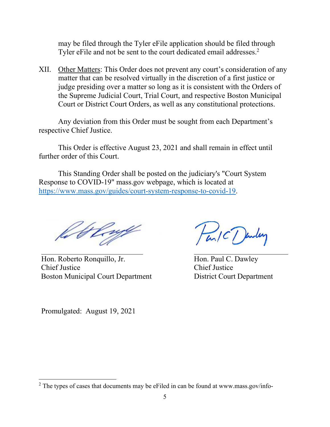may be filed through the Tyler eFile application should be filed through Tyler eFile and not be sent to the court dedicated email addresses.<sup>2</sup>

XII. Other Matters: This Order does not prevent any court's consideration of any matter that can be resolved virtually in the discretion of a first justice or judge presiding over a matter so long as it is consistent with the Orders of the Supreme Judicial Court, Trial Court, and respective Boston Municipal Court or District Court Orders, as well as any constitutional protections.

Any deviation from this Order must be sought from each Department's respective Chief Justice.

This Order is effective August 23, 2021 and shall remain in effect until further order of this Court.

This Standing Order shall be posted on the judiciary's "Court System Response to COVID-19" mass.gov webpage, which is located at [https://www.mass.gov/guides/court-system-response-to-covid-19.](https://www.mass.gov/guides/court-system-response-to-covid-19)

le thruft

Hon. Roberto Ronquillo, Jr. Hon. Paul C. Dawley Chief Justice Chief Justice Boston Municipal Court Department District Court Department

Fan/C/Jenley

Promulgated: August 19, 2021

 $2$  The types of cases that documents may be eFiled in can be found at [www.mass.gov/info-](http://www.mass.gov/info-)